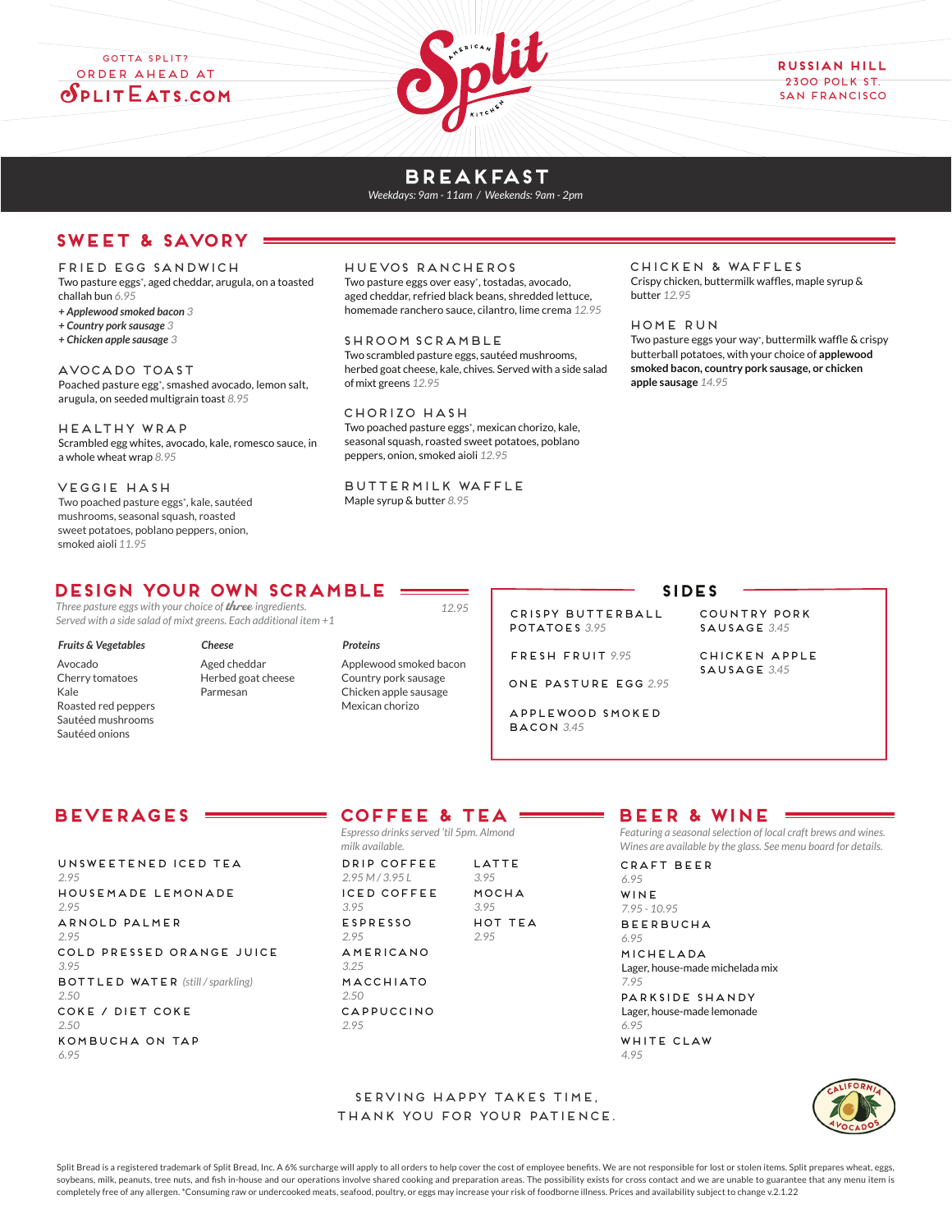## GOTTA SPLIT? Order Ahead at  $S$ PLIT $E$ ATS.COM



## **BREAKFAST**

*Weekdays: 9am - 11am / Weekends: 9am - 2pm*

## **SWEET & SAVORY**

#### FRIED EGG SANDWICH

Two pasture eggs\*, aged cheddar, arugula, on a toasted challah bun *6.95*

- *+ Applewood smoked bacon 3*
- *+ Country pork sausage 3*
- *+ Chicken apple sausage 3*

AVOCADO TOAST Poached pasture egg<sup>+</sup>, smashed avocado, lemon salt, arugula, on seeded multigrain toast *8.95*

Healthy WRAP Scrambled egg whites, avocado, kale, romesco sauce, in a whole wheat wrap *8.95*

veggie HASH

Two poached pasture eggs\*, kale, sautéed mushrooms, seasonal squash, roasted sweet potatoes, poblano peppers, onion, smoked aioli *11.95* 

## HUEVOS RANCHEROS

Two pasture eggs over easy\*, tostadas, avocado, aged cheddar, refried black beans, shredded lettuce, homemade ranchero sauce, cilantro, lime crema *12.95*

SHroom scramble Two scrambled pasture eggs, sautéed mushrooms, herbed goat cheese, kale, chives. Served with a side salad of mixt greens *12.95*

CHORIZO HASH Two poached pasture eggs\*, mexican chorizo, kale, seasonal squash, roasted sweet potatoes, poblano peppers, onion, smoked aioli *12.95*

*12.95*

BUTTERMILK Waffle Maple syrup & butter *8.95*

#### CHICKEN & WAFFLES Crispy chicken, buttermilk waffles, maple syrup & butter *12.95*

### HOME RUN

Two pasture eggs your way\*, buttermilk waffle & crispy butterball potatoes, with your choice of **applewood smoked bacon, country pork sausage, or chicken apple sausage** *14.95*

## **Design your own SCRAMBLe**

*Three pasture eggs with your choice of* three *ingredients. Served with a side salad of mixt greens. Each additional item +1*

## *Fruits & Vegetables*

Avocado Cherry tomatoes Kale Roasted red peppers Sautéed mushrooms Sautéed onions

*Cheese* Aged cheddar Herbed goat cheese Parmesan

*Proteins* Applewood smoked bacon Country pork sausage Chicken apple sausage Mexican chorizo

## **SIDES**

CRISPY BUTTERBALL POTATOES *3.95*

FRESH FRUIT *9.95*

ONE PASTURE EGG *2.95*

APPLEWOOD SMOKED BACOn *3.45*

COUNTRY PORK SAUSAGE *3.45*

chicken apple sausage *3.45*

## **BEVERAGES**

UNSWEETENED ICED TEA *2.95* HOUSEMADE LEMONADE *2.95* ARNOLD PALMER *2.95* COLD PRESSED ORANGE JUICE *3.95* BOTTLED WATER *(still / sparkling) 2.50* COKE / DIET COKE *2.50* kombucha on tap *6.95*

# **COFFEE & TEA**

*Espresso drinks served 'til 5pm. Almond milk available.*

DRIP COFFEE *2.95 M / 3.95 L* ICED COFFEE *3.95* ESPRESSO *2.95* AMERICANO *3.25* MACCHIATO *2.50* CAPPUCCINO *2.95* LATTE *3.95* MOCHA *3.95* hOT TEA *2.95*

# **BEER & WINE**

*Featuring a seasonal selection of local craft brews and wines. Wines are available by the glass. See menu board for details.*

CRAFT BEER *6.95*

WINE

*7.95 - 10.95* BEERBUCHA *6.95* michelada

Lager, house-made michelada mix *7.95*

parkside shandy Lager, house-made lemonade *6.95*

WHITE CLAW *4.95*

thank you for your patience.

SERVING HAPPY takes time,

Split Bread is a registered trademark of Split Bread, Inc. A 6% surcharge will apply to all orders to help cover the cost of employee benefits. We are not responsible for lost or stolen items. Split prepares wheat, eggs, soybeans, milk, peanuts, tree nuts, and fish in-house and our operations involve shared cooking and preparation areas. The possibility exists for cross contact and we are unable to guarantee that any menu item is completely free of any allergen. \*Consuming raw or undercooked meats, seafood, poultry, or eggs may increase your risk of foodborne illness. Prices and availability subject to change v.2.1.22